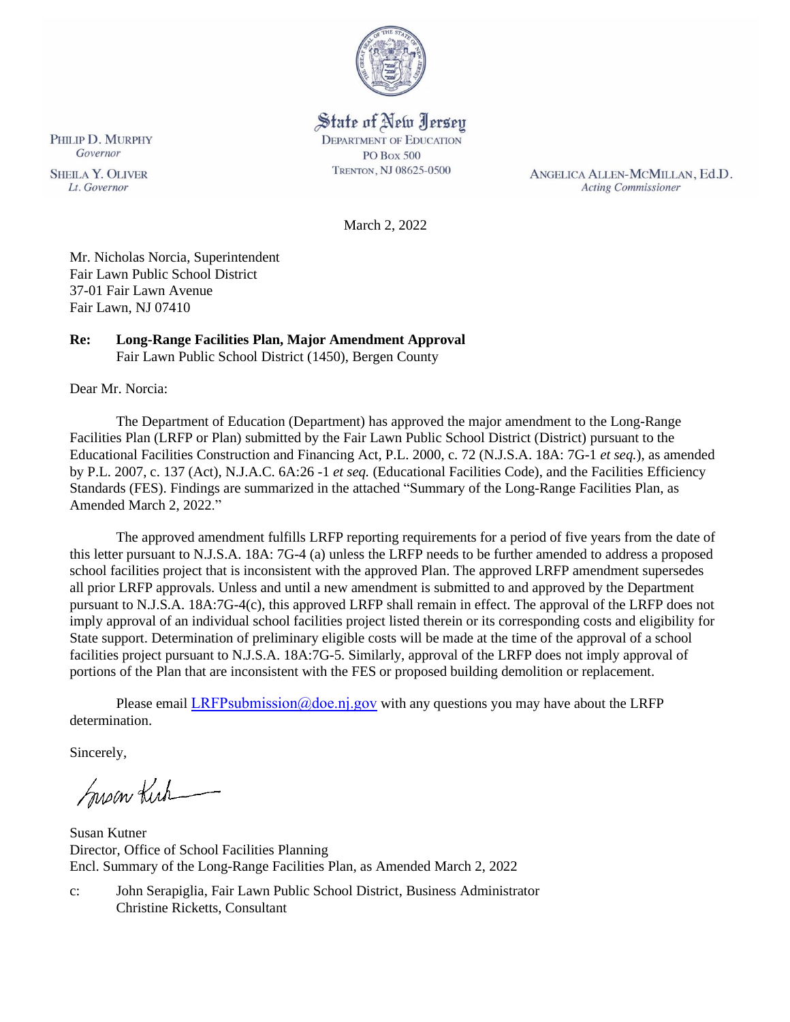

# State of New Jersey

**DEPARTMENT OF EDUCATION** PO Box 500 TRENTON, NJ 08625-0500

ANGELICA ALLEN-MCMILLAN, Ed.D. **Acting Commissioner** 

March 2, 2022

Mr. Nicholas Norcia, Superintendent Fair Lawn Public School District 37-01 Fair Lawn Avenue Fair Lawn, NJ 07410

# **Re: Long-Range Facilities Plan, Major Amendment Approval**

Fair Lawn Public School District (1450), Bergen County

Dear Mr. Norcia:

The Department of Education (Department) has approved the major amendment to the Long-Range Facilities Plan (LRFP or Plan) submitted by the Fair Lawn Public School District (District) pursuant to the Educational Facilities Construction and Financing Act, P.L. 2000, c. 72 (N.J.S.A. 18A: 7G-1 *et seq.*), as amended by P.L. 2007, c. 137 (Act), N.J.A.C. 6A:26 -1 *et seq.* (Educational Facilities Code), and the Facilities Efficiency Standards (FES). Findings are summarized in the attached "Summary of the Long-Range Facilities Plan, as Amended March 2, 2022."

The approved amendment fulfills LRFP reporting requirements for a period of five years from the date of this letter pursuant to N.J.S.A. 18A: 7G-4 (a) unless the LRFP needs to be further amended to address a proposed school facilities project that is inconsistent with the approved Plan. The approved LRFP amendment supersedes all prior LRFP approvals. Unless and until a new amendment is submitted to and approved by the Department pursuant to N.J.S.A. 18A:7G-4(c), this approved LRFP shall remain in effect. The approval of the LRFP does not imply approval of an individual school facilities project listed therein or its corresponding costs and eligibility for State support. Determination of preliminary eligible costs will be made at the time of the approval of a school facilities project pursuant to N.J.S.A. 18A:7G-5. Similarly, approval of the LRFP does not imply approval of portions of the Plan that are inconsistent with the FES or proposed building demolition or replacement.

Please email LRFPsubmission  $@doen$  i.gov with any questions you may have about the LRFP determination.

Sincerely,

Susan Kich

Susan Kutner Director, Office of School Facilities Planning Encl. Summary of the Long-Range Facilities Plan, as Amended March 2, 2022

c: John Serapiglia, Fair Lawn Public School District, Business Administrator Christine Ricketts, Consultant

PHILIP D. MURPHY Governor **SHEILA Y. OLIVER** 

Lt. Governor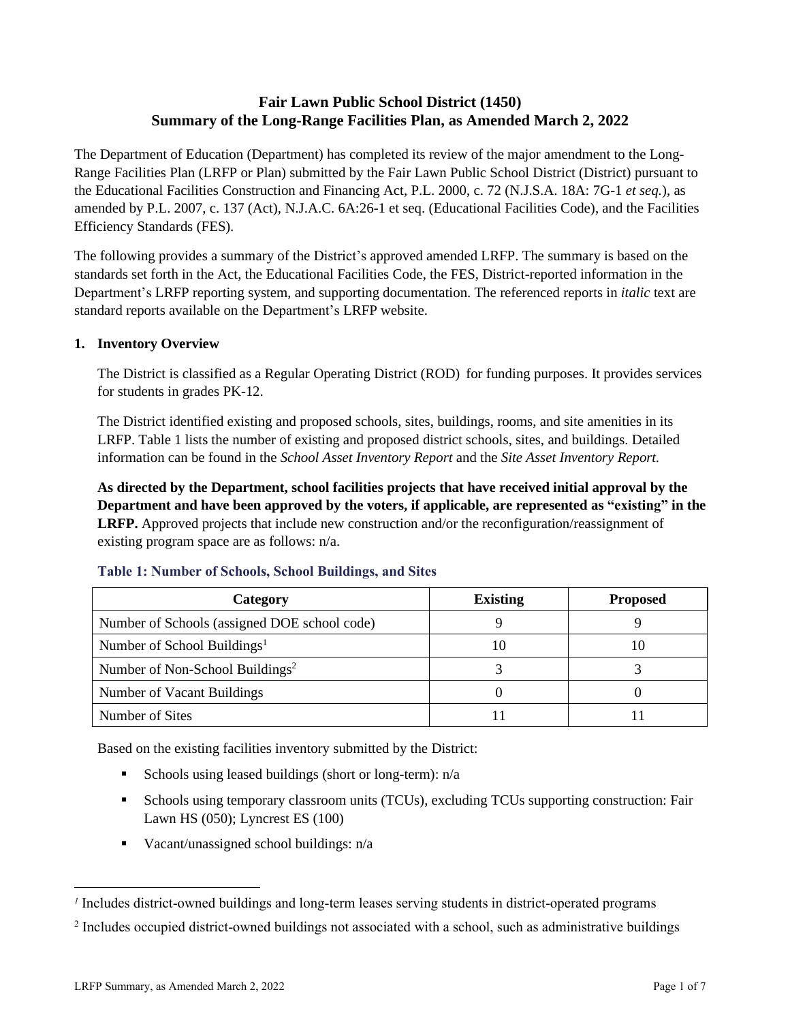# **Fair Lawn Public School District (1450) Summary of the Long-Range Facilities Plan, as Amended March 2, 2022**

The Department of Education (Department) has completed its review of the major amendment to the Long-Range Facilities Plan (LRFP or Plan) submitted by the Fair Lawn Public School District (District) pursuant to the Educational Facilities Construction and Financing Act, P.L. 2000, c. 72 (N.J.S.A. 18A: 7G-1 *et seq.*), as amended by P.L. 2007, c. 137 (Act), N.J.A.C. 6A:26-1 et seq. (Educational Facilities Code), and the Facilities Efficiency Standards (FES).

The following provides a summary of the District's approved amended LRFP. The summary is based on the standards set forth in the Act, the Educational Facilities Code, the FES, District-reported information in the Department's LRFP reporting system, and supporting documentation. The referenced reports in *italic* text are standard reports available on the Department's LRFP website.

#### **1. Inventory Overview**

The District is classified as a Regular Operating District (ROD) for funding purposes. It provides services for students in grades PK-12.

The District identified existing and proposed schools, sites, buildings, rooms, and site amenities in its LRFP. Table 1 lists the number of existing and proposed district schools, sites, and buildings. Detailed information can be found in the *School Asset Inventory Report* and the *Site Asset Inventory Report.*

**As directed by the Department, school facilities projects that have received initial approval by the Department and have been approved by the voters, if applicable, are represented as "existing" in the LRFP.** Approved projects that include new construction and/or the reconfiguration/reassignment of existing program space are as follows: n/a.

| Category                                     | <b>Existing</b> | <b>Proposed</b> |
|----------------------------------------------|-----------------|-----------------|
| Number of Schools (assigned DOE school code) |                 |                 |
| Number of School Buildings <sup>1</sup>      |                 | 10              |
| Number of Non-School Buildings <sup>2</sup>  |                 |                 |
| Number of Vacant Buildings                   |                 |                 |
| Number of Sites                              |                 |                 |

#### **Table 1: Number of Schools, School Buildings, and Sites**

Based on the existing facilities inventory submitted by the District:

- **Exercise** Schools using leased buildings (short or long-term):  $n/a$
- **•** Schools using temporary classroom units (TCUs), excluding TCUs supporting construction: Fair Lawn HS (050); Lyncrest ES (100)
- Vacant/unassigned school buildings: n/a

*<sup>1</sup>* Includes district-owned buildings and long-term leases serving students in district-operated programs

<sup>&</sup>lt;sup>2</sup> Includes occupied district-owned buildings not associated with a school, such as administrative buildings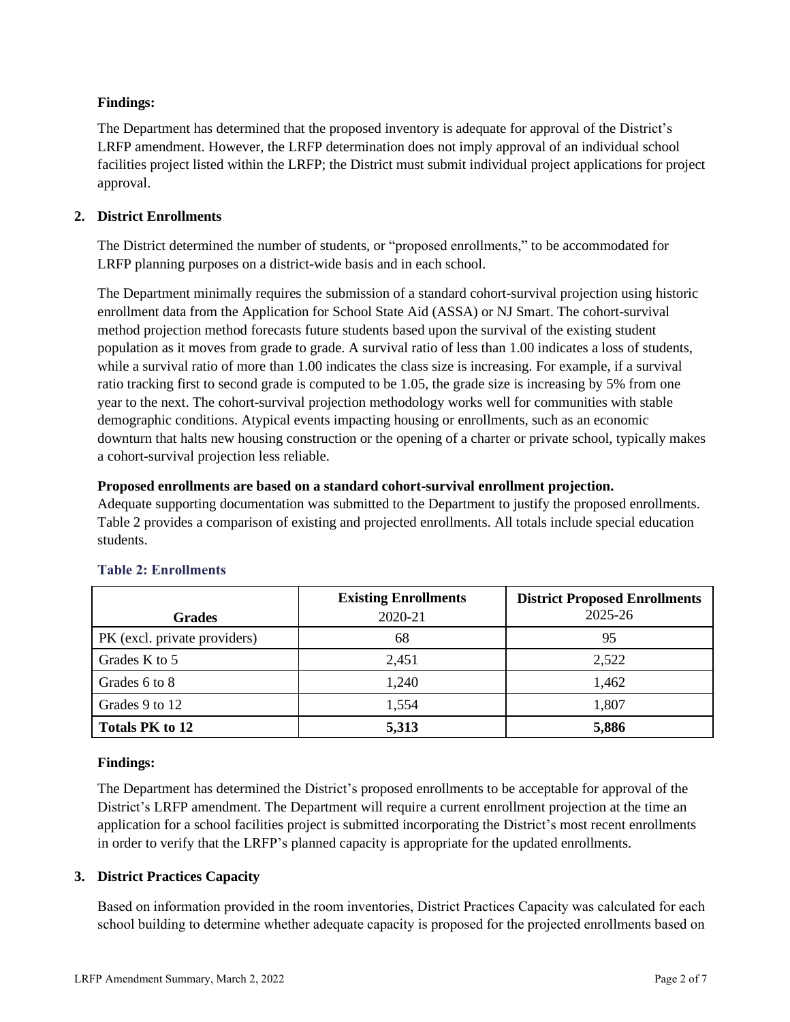## **Findings:**

The Department has determined that the proposed inventory is adequate for approval of the District's LRFP amendment. However, the LRFP determination does not imply approval of an individual school facilities project listed within the LRFP; the District must submit individual project applications for project approval.

# **2. District Enrollments**

The District determined the number of students, or "proposed enrollments," to be accommodated for LRFP planning purposes on a district-wide basis and in each school.

The Department minimally requires the submission of a standard cohort-survival projection using historic enrollment data from the Application for School State Aid (ASSA) or NJ Smart. The cohort-survival method projection method forecasts future students based upon the survival of the existing student population as it moves from grade to grade. A survival ratio of less than 1.00 indicates a loss of students, while a survival ratio of more than 1.00 indicates the class size is increasing. For example, if a survival ratio tracking first to second grade is computed to be 1.05, the grade size is increasing by 5% from one year to the next. The cohort-survival projection methodology works well for communities with stable demographic conditions. Atypical events impacting housing or enrollments, such as an economic downturn that halts new housing construction or the opening of a charter or private school, typically makes a cohort-survival projection less reliable.

## **Proposed enrollments are based on a standard cohort-survival enrollment projection.**

Adequate supporting documentation was submitted to the Department to justify the proposed enrollments. Table 2 provides a comparison of existing and projected enrollments. All totals include special education students.

|                              | <b>Existing Enrollments</b> | <b>District Proposed Enrollments</b> |
|------------------------------|-----------------------------|--------------------------------------|
| <b>Grades</b>                | 2020-21                     | 2025-26                              |
| PK (excl. private providers) | 68                          | 95                                   |
| Grades K to 5                | 2,451                       | 2,522                                |
| Grades 6 to 8                | 1,240                       | 1,462                                |
| Grades 9 to 12               | 1,554                       | 1,807                                |
| <b>Totals PK to 12</b>       | 5,313                       | 5,886                                |

# **Table 2: Enrollments**

## **Findings:**

The Department has determined the District's proposed enrollments to be acceptable for approval of the District's LRFP amendment. The Department will require a current enrollment projection at the time an application for a school facilities project is submitted incorporating the District's most recent enrollments in order to verify that the LRFP's planned capacity is appropriate for the updated enrollments.

# **3. District Practices Capacity**

Based on information provided in the room inventories, District Practices Capacity was calculated for each school building to determine whether adequate capacity is proposed for the projected enrollments based on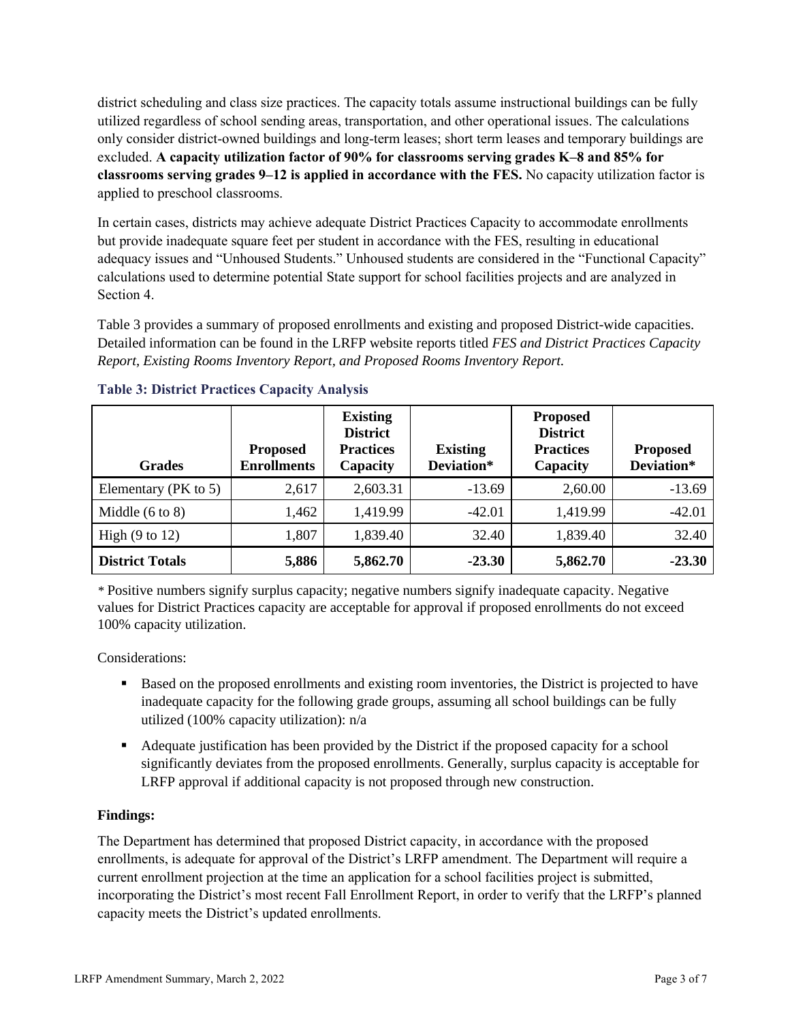district scheduling and class size practices. The capacity totals assume instructional buildings can be fully utilized regardless of school sending areas, transportation, and other operational issues. The calculations only consider district-owned buildings and long-term leases; short term leases and temporary buildings are excluded. **A capacity utilization factor of 90% for classrooms serving grades K–8 and 85% for classrooms serving grades 9–12 is applied in accordance with the FES.** No capacity utilization factor is applied to preschool classrooms.

In certain cases, districts may achieve adequate District Practices Capacity to accommodate enrollments but provide inadequate square feet per student in accordance with the FES, resulting in educational adequacy issues and "Unhoused Students." Unhoused students are considered in the "Functional Capacity" calculations used to determine potential State support for school facilities projects and are analyzed in Section 4.

Table 3 provides a summary of proposed enrollments and existing and proposed District-wide capacities. Detailed information can be found in the LRFP website reports titled *FES and District Practices Capacity Report, Existing Rooms Inventory Report, and Proposed Rooms Inventory Report.*

| <b>Grades</b>              | <b>Proposed</b><br><b>Enrollments</b> | <b>Existing</b><br><b>District</b><br><b>Practices</b><br>Capacity | <b>Existing</b><br>Deviation* | <b>Proposed</b><br><b>District</b><br><b>Practices</b><br>Capacity | <b>Proposed</b><br>Deviation* |
|----------------------------|---------------------------------------|--------------------------------------------------------------------|-------------------------------|--------------------------------------------------------------------|-------------------------------|
| Elementary ( $PK$ to 5)    | 2,617                                 | 2,603.31                                                           | $-13.69$                      | 2,60.00                                                            | $-13.69$                      |
| Middle $(6 \text{ to } 8)$ | 1,462                                 | 1,419.99                                                           | $-42.01$                      | 1,419.99                                                           | $-42.01$                      |
| High $(9 \text{ to } 12)$  | 1,807                                 | 1,839.40                                                           | 32.40                         | 1,839.40                                                           | 32.40                         |
| <b>District Totals</b>     | 5,886                                 | 5,862.70                                                           | $-23.30$                      | 5,862.70                                                           | $-23.30$                      |

## **Table 3: District Practices Capacity Analysis**

*\** Positive numbers signify surplus capacity; negative numbers signify inadequate capacity. Negative values for District Practices capacity are acceptable for approval if proposed enrollments do not exceed 100% capacity utilization.

Considerations:

- Based on the proposed enrollments and existing room inventories, the District is projected to have inadequate capacity for the following grade groups, assuming all school buildings can be fully utilized (100% capacity utilization): n/a
- Adequate justification has been provided by the District if the proposed capacity for a school significantly deviates from the proposed enrollments. Generally, surplus capacity is acceptable for LRFP approval if additional capacity is not proposed through new construction.

## **Findings:**

The Department has determined that proposed District capacity, in accordance with the proposed enrollments, is adequate for approval of the District's LRFP amendment. The Department will require a current enrollment projection at the time an application for a school facilities project is submitted, incorporating the District's most recent Fall Enrollment Report, in order to verify that the LRFP's planned capacity meets the District's updated enrollments.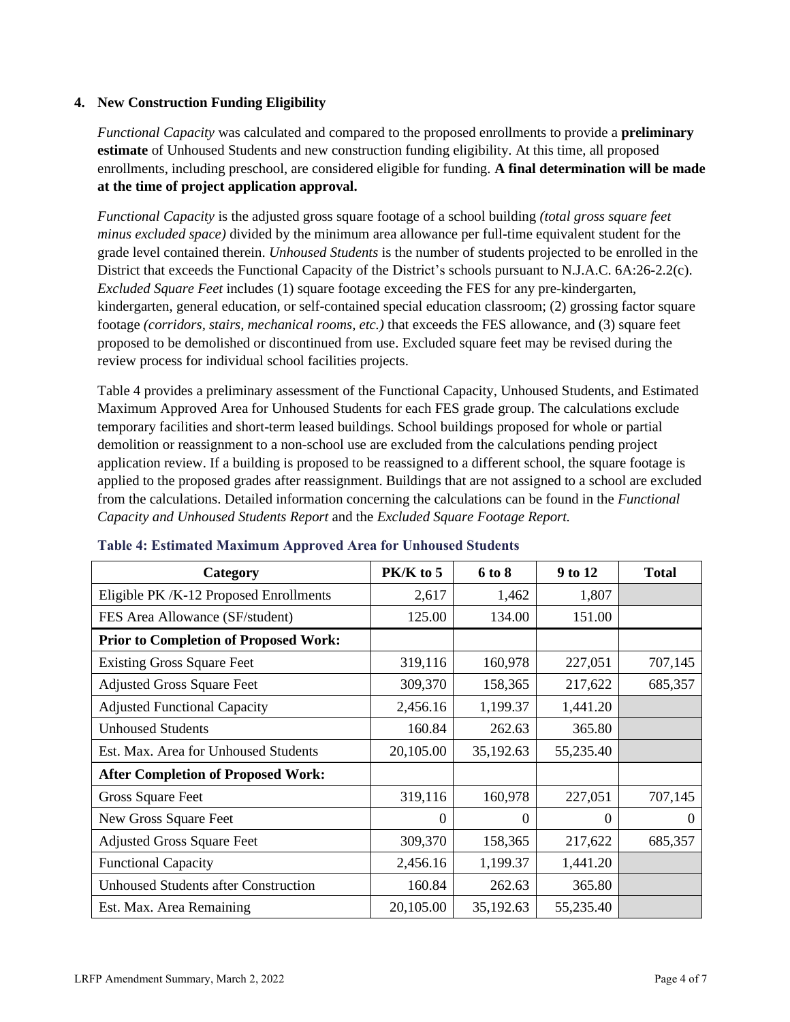#### **4. New Construction Funding Eligibility**

*Functional Capacity* was calculated and compared to the proposed enrollments to provide a **preliminary estimate** of Unhoused Students and new construction funding eligibility. At this time, all proposed enrollments, including preschool, are considered eligible for funding. **A final determination will be made at the time of project application approval.**

*Functional Capacity* is the adjusted gross square footage of a school building *(total gross square feet minus excluded space)* divided by the minimum area allowance per full-time equivalent student for the grade level contained therein. *Unhoused Students* is the number of students projected to be enrolled in the District that exceeds the Functional Capacity of the District's schools pursuant to N.J.A.C. 6A:26-2.2(c). *Excluded Square Feet* includes (1) square footage exceeding the FES for any pre-kindergarten, kindergarten, general education, or self-contained special education classroom; (2) grossing factor square footage *(corridors, stairs, mechanical rooms, etc.)* that exceeds the FES allowance, and (3) square feet proposed to be demolished or discontinued from use. Excluded square feet may be revised during the review process for individual school facilities projects.

Table 4 provides a preliminary assessment of the Functional Capacity, Unhoused Students, and Estimated Maximum Approved Area for Unhoused Students for each FES grade group. The calculations exclude temporary facilities and short-term leased buildings. School buildings proposed for whole or partial demolition or reassignment to a non-school use are excluded from the calculations pending project application review. If a building is proposed to be reassigned to a different school, the square footage is applied to the proposed grades after reassignment. Buildings that are not assigned to a school are excluded from the calculations. Detailed information concerning the calculations can be found in the *Functional Capacity and Unhoused Students Report* and the *Excluded Square Footage Report.*

| Category                                     | $PK/K$ to 5 | 6 to 8    | 9 to 12   | <b>Total</b> |
|----------------------------------------------|-------------|-----------|-----------|--------------|
| Eligible PK /K-12 Proposed Enrollments       | 2,617       | 1,462     | 1,807     |              |
| FES Area Allowance (SF/student)              | 125.00      | 134.00    | 151.00    |              |
| <b>Prior to Completion of Proposed Work:</b> |             |           |           |              |
| <b>Existing Gross Square Feet</b>            | 319,116     | 160,978   | 227,051   | 707,145      |
| <b>Adjusted Gross Square Feet</b>            | 309,370     | 158,365   | 217,622   | 685,357      |
| <b>Adjusted Functional Capacity</b>          | 2,456.16    | 1,199.37  | 1,441.20  |              |
| <b>Unhoused Students</b>                     | 160.84      | 262.63    | 365.80    |              |
| Est. Max. Area for Unhoused Students         | 20,105.00   | 35,192.63 | 55,235.40 |              |
| <b>After Completion of Proposed Work:</b>    |             |           |           |              |
| Gross Square Feet                            | 319,116     | 160,978   | 227,051   | 707,145      |
| New Gross Square Feet                        | $\Omega$    | $\Omega$  | $\Omega$  | $\Omega$     |
| <b>Adjusted Gross Square Feet</b>            | 309,370     | 158,365   | 217,622   | 685,357      |
| <b>Functional Capacity</b>                   | 2,456.16    | 1,199.37  | 1,441.20  |              |
| <b>Unhoused Students after Construction</b>  | 160.84      | 262.63    | 365.80    |              |
| Est. Max. Area Remaining                     | 20,105.00   | 35,192.63 | 55,235.40 |              |

#### **Table 4: Estimated Maximum Approved Area for Unhoused Students**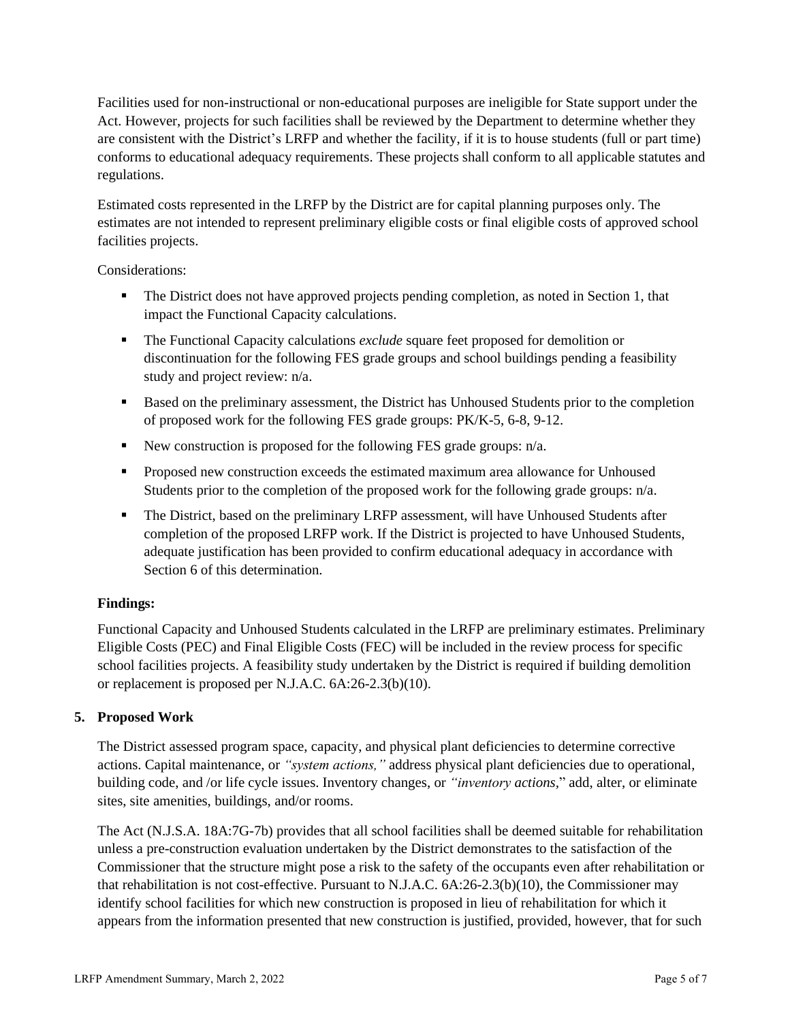Facilities used for non-instructional or non-educational purposes are ineligible for State support under the Act. However, projects for such facilities shall be reviewed by the Department to determine whether they are consistent with the District's LRFP and whether the facility, if it is to house students (full or part time) conforms to educational adequacy requirements. These projects shall conform to all applicable statutes and regulations.

Estimated costs represented in the LRFP by the District are for capital planning purposes only. The estimates are not intended to represent preliminary eligible costs or final eligible costs of approved school facilities projects.

Considerations:

- **•** The District does not have approved projects pending completion, as noted in Section 1, that impact the Functional Capacity calculations.
- The Functional Capacity calculations *exclude* square feet proposed for demolition or discontinuation for the following FES grade groups and school buildings pending a feasibility study and project review: n/a.
- Based on the preliminary assessment, the District has Unhoused Students prior to the completion of proposed work for the following FES grade groups: PK/K-5, 6-8, 9-12.
- New construction is proposed for the following FES grade groups: n/a.
- Proposed new construction exceeds the estimated maximum area allowance for Unhoused Students prior to the completion of the proposed work for the following grade groups: n/a.
- **•** The District, based on the preliminary LRFP assessment, will have Unhoused Students after completion of the proposed LRFP work. If the District is projected to have Unhoused Students, adequate justification has been provided to confirm educational adequacy in accordance with Section 6 of this determination.

## **Findings:**

Functional Capacity and Unhoused Students calculated in the LRFP are preliminary estimates. Preliminary Eligible Costs (PEC) and Final Eligible Costs (FEC) will be included in the review process for specific school facilities projects. A feasibility study undertaken by the District is required if building demolition or replacement is proposed per N.J.A.C. 6A:26-2.3(b)(10).

## **5. Proposed Work**

The District assessed program space, capacity, and physical plant deficiencies to determine corrective actions. Capital maintenance, or *"system actions,"* address physical plant deficiencies due to operational, building code, and /or life cycle issues. Inventory changes, or *"inventory actions,*" add, alter, or eliminate sites, site amenities, buildings, and/or rooms.

The Act (N.J.S.A. 18A:7G-7b) provides that all school facilities shall be deemed suitable for rehabilitation unless a pre-construction evaluation undertaken by the District demonstrates to the satisfaction of the Commissioner that the structure might pose a risk to the safety of the occupants even after rehabilitation or that rehabilitation is not cost-effective. Pursuant to N.J.A.C. 6A:26-2.3(b)(10), the Commissioner may identify school facilities for which new construction is proposed in lieu of rehabilitation for which it appears from the information presented that new construction is justified, provided, however, that for such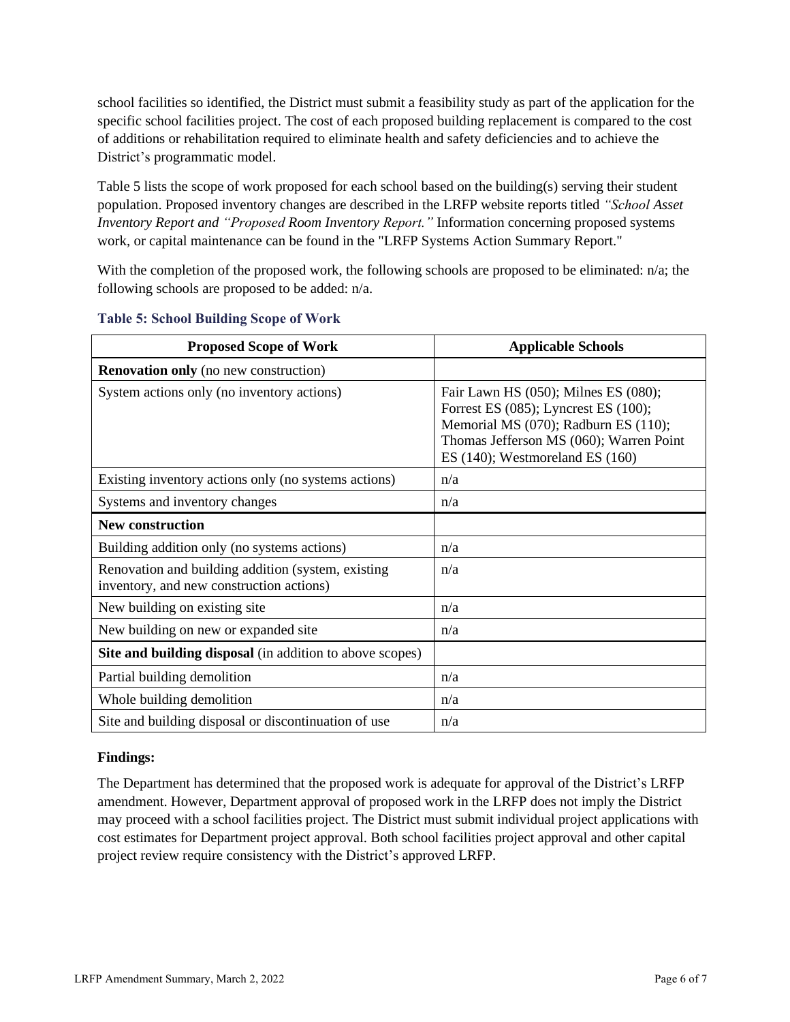school facilities so identified, the District must submit a feasibility study as part of the application for the specific school facilities project. The cost of each proposed building replacement is compared to the cost of additions or rehabilitation required to eliminate health and safety deficiencies and to achieve the District's programmatic model.

Table 5 lists the scope of work proposed for each school based on the building(s) serving their student population. Proposed inventory changes are described in the LRFP website reports titled *"School Asset Inventory Report and "Proposed Room Inventory Report."* Information concerning proposed systems work, or capital maintenance can be found in the "LRFP Systems Action Summary Report."

With the completion of the proposed work, the following schools are proposed to be eliminated: n/a; the following schools are proposed to be added: n/a.

| <b>Proposed Scope of Work</b>                                                                  | <b>Applicable Schools</b>                                                                                                                                                                                |
|------------------------------------------------------------------------------------------------|----------------------------------------------------------------------------------------------------------------------------------------------------------------------------------------------------------|
| <b>Renovation only</b> (no new construction)                                                   |                                                                                                                                                                                                          |
| System actions only (no inventory actions)                                                     | Fair Lawn HS (050); Milnes ES (080);<br>Forrest ES $(085)$ ; Lyncrest ES $(100)$ ;<br>Memorial MS (070); Radburn ES (110);<br>Thomas Jefferson MS (060); Warren Point<br>ES (140); Westmoreland ES (160) |
| Existing inventory actions only (no systems actions)                                           | n/a                                                                                                                                                                                                      |
| Systems and inventory changes                                                                  | n/a                                                                                                                                                                                                      |
| <b>New construction</b>                                                                        |                                                                                                                                                                                                          |
| Building addition only (no systems actions)                                                    | n/a                                                                                                                                                                                                      |
| Renovation and building addition (system, existing<br>inventory, and new construction actions) | n/a                                                                                                                                                                                                      |
| New building on existing site                                                                  | n/a                                                                                                                                                                                                      |
| New building on new or expanded site                                                           | n/a                                                                                                                                                                                                      |
| Site and building disposal (in addition to above scopes)                                       |                                                                                                                                                                                                          |
| Partial building demolition                                                                    | n/a                                                                                                                                                                                                      |
| Whole building demolition                                                                      | n/a                                                                                                                                                                                                      |
| Site and building disposal or discontinuation of use                                           | n/a                                                                                                                                                                                                      |

#### **Table 5: School Building Scope of Work**

#### **Findings:**

The Department has determined that the proposed work is adequate for approval of the District's LRFP amendment. However, Department approval of proposed work in the LRFP does not imply the District may proceed with a school facilities project. The District must submit individual project applications with cost estimates for Department project approval. Both school facilities project approval and other capital project review require consistency with the District's approved LRFP.